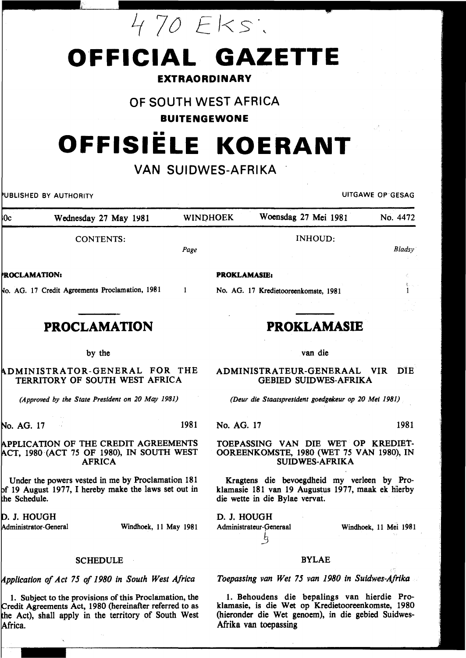# 4 70 Eks:

# **OFFICIAL GAZETTE**

### **EXTRAORDINARY**

## OF SOUTH WEST AFRICA

**BUITENGEWONE** 

# •• **OFFISIELE KOERANT**

## **VAN SUIDWES-AFRIKA**

Wednesday 27 May 1981 WINDHOEK Woensdag 27 Mei 1981 No. 4472  $0<sub>c</sub>$ INHOUD: CONTENTS: *Page*  **ROCLAMATION:** PROKLAMASIE1 AG. 17 Credit Agreements Proclamation, 1981  $\mathbf{1}$ No. AG. 17 Kredietooreenkomste, 1981 **PROCLAMATION PROKLAMASIE**  by the van die DMINISTRATOR-GENERAL FOR THE TERRITORY OF SOUTH WEST AFRICA GEBIED SUIDWES-AFRIKA *(Approved by the State President on 20 May 1981)*  1981 No. AG. 17 1981 No. AG. 17 APPLICATION OF THE CREDIT AGREEMENTS TOEPASSING VAN DIE WET OP KREDIET-, 1980 (ACT 75 OF 1980), IN SOUTH WEST OOREENKOMSTE, 1980 (WET 75 VAN 1980), IN AFRICA SUIDWES-AFRIKA Under the powers vested in me by Proclamation 181 Kragtens die bevoegdheid my verleen by Pro-19 August 1977, I hereby make the laws set out in klamasie 181 van 19 Augustus 1977, maak ek hierby die wette in die Bylae vervat. the Schedule. D. J. HOUGH D. J. HOUGH Administrator-General Windhoek, II May 1981 Administrateur-Generaal Windhoek, 11 Mei 1981 \_§ SCHEDULE

#### *',i.PPltcallon of Act 75 of 1980 in South West Africa*

1. Subject to the provisions of this Proclamation, the Credit Agreements Act, 1980 (hereinafter referred to as the Act), shall apply in the territory of South West Africa.

### BYLAE

*Toepassing van Wet 75 van 1980 in Suidwes-Afrika* 

1. Behoudens die bepalings van hierdie Proklamasie, is die Wet op Kredietooreenkomste, 1980 (hieronder die Wet genoem), in die gebied Suidwes-Afrika van toepassing

ADMINISTRATEUR-GENERAAL VIR DiE

*(Deur die Staatsprestdent goedgekeur op 20 Met 1981)* 

BUSHED BY AUTHORITY UITGAWE OP GESAG

*B/adsy* 

 $\mathbf{1}$